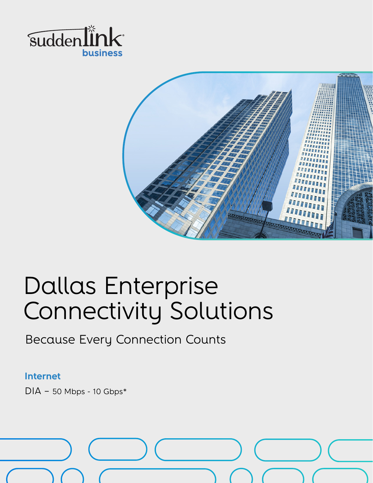



# Dallas Enterprise Connectivity Solutions

Because Every Connection Counts

#### **Internet**

 $DIA - 50$  Mbps - 10 Gbps\*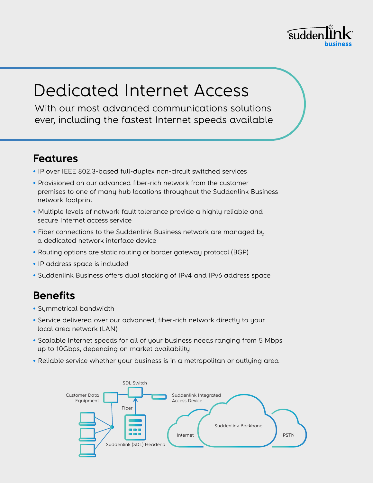

## Dedicated Internet Access

With our most advanced communications solutions ever, including the fastest Internet speeds available

### **Features**

- IP over IEEE 802.3-based full-duplex non-circuit switched services
- Provisioned on our advanced fiber-rich network from the customer premises to one of many hub locations throughout the Suddenlink Business network footprint
- Multiple levels of network fault tolerance provide a highly reliable and secure Internet access service
- Fiber connections to the Suddenlink Business network are managed by a dedicated network interface device
- Routing options are static routing or border gateway protocol (BGP)
- IP address space is included
- Suddenlink Business offers dual stacking of IPv4 and IPv6 address space

### **Benefits**

- Symmetrical bandwidth
- Service delivered over our advanced, fiber-rich network directly to your local area network (LAN)
- Scalable Internet speeds for all of your business needs ranging from 5 Mbps up to 10Gbps, depending on market availability
- Reliable service whether your business is in a metropolitan or outlying area